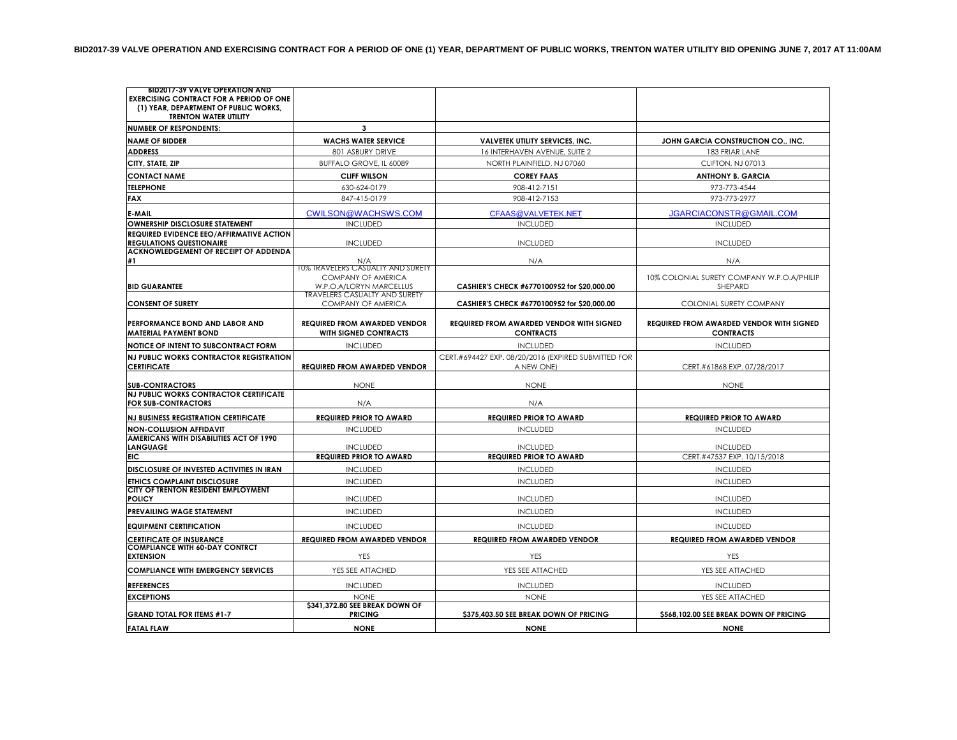| <b>BID2017-39 VALVE OPERATION AND</b>                                                                                   |                                                              |                                                                     |                                                                     |
|-------------------------------------------------------------------------------------------------------------------------|--------------------------------------------------------------|---------------------------------------------------------------------|---------------------------------------------------------------------|
| <b>EXERCISING CONTRACT FOR A PERIOD OF ONE</b><br>(1) YEAR, DEPARTMENT OF PUBLIC WORKS,<br><b>TRENTON WATER UTILITY</b> |                                                              |                                                                     |                                                                     |
| <b>NUMBER OF RESPONDENTS:</b>                                                                                           | 3                                                            |                                                                     |                                                                     |
| <b>NAME OF BIDDER</b>                                                                                                   | <b>WACHS WATER SERVICE</b>                                   | <b>VALVETEK UTILITY SERVICES, INC.</b>                              | JOHN GARCIA CONSTRUCTION CO., INC.                                  |
| <b>ADDRESS</b>                                                                                                          | 801 ASBURY DRIVE                                             | 16 INTERHAVEN AVENUE, SUITE 2                                       | 183 FRIAR LANE                                                      |
| CITY, STATE, ZIP                                                                                                        | BUFFALO GROVE. IL 60089                                      | NORTH PLAINFIELD, NJ 07060                                          | CLIFTON, NJ 07013                                                   |
| <b>CONTACT NAME</b>                                                                                                     | <b>CLIFF WILSON</b>                                          | <b>COREY FAAS</b>                                                   | <b>ANTHONY B. GARCIA</b>                                            |
| <b>TELEPHONE</b>                                                                                                        | 630-624-0179                                                 | 908-412-7151                                                        | 973-773-4544                                                        |
| <b>FAX</b>                                                                                                              | 847-415-0179                                                 | 908-412-7153                                                        | 973-773-2977                                                        |
| E-MAIL                                                                                                                  | CWILSON@WACHSWS.COM                                          | CFAAS@VALVETEK.NET                                                  | JGARCIACONSTR@GMAIL.COM                                             |
| <b>OWNERSHIP DISCLOSURE STATEMENT</b>                                                                                   | <b>INCLUDED</b>                                              | <b>INCLUDED</b>                                                     | <b>INCLUDED</b>                                                     |
| <b>REQUIRED EVIDENCE EEO/AFFIRMATIVE ACTION</b>                                                                         |                                                              |                                                                     |                                                                     |
| <b>REGULATIONS QUESTIONAIRE</b>                                                                                         | <b>INCLUDED</b>                                              | <b>INCLUDED</b>                                                     | <b>INCLUDED</b>                                                     |
| ACKNOWLEDGEMENT OF RECEIPT OF ADDENDA<br>#1                                                                             | N/A                                                          | N/A                                                                 | N/A                                                                 |
|                                                                                                                         | 10% TRAVELERS CASUALTY AND SURETY                            |                                                                     |                                                                     |
| <b>BID GUARANTEE</b>                                                                                                    | <b>COMPANY OF AMERICA</b><br>W.P.O.A/LORYN MARCELLUS         | CASHIER'S CHECK #6770100952 for \$20,000.00                         | 10% COLONIAL SURETY COMPANY W.P.O.A/PHILIP<br>SHEPARD               |
|                                                                                                                         | <b>TRAVELERS CASUALTY AND SURETY</b>                         |                                                                     |                                                                     |
| <b>CONSENT OF SURETY</b>                                                                                                | COMPANY OF AMERICA                                           | CASHIER'S CHECK #6770100952 for \$20,000.00                         | COLONIAL SURETY COMPANY                                             |
| PERFORMANCE BOND AND LABOR AND<br><b>MATERIAL PAYMENT BOND</b>                                                          | <b>REQUIRED FROM AWARDED VENDOR</b><br>WITH SIGNED CONTRACTS | <b>REQUIRED FROM AWARDED VENDOR WITH SIGNED</b><br><b>CONTRACTS</b> | <b>REQUIRED FROM AWARDED VENDOR WITH SIGNED</b><br><b>CONTRACTS</b> |
| <b>NOTICE OF INTENT TO SUBCONTRACT FORM</b>                                                                             | <b>INCLUDED</b>                                              | <b>INCLUDED</b>                                                     | <b>INCLUDED</b>                                                     |
| NJ PUBLIC WORKS CONTRACTOR REGISTRATION<br><b>CERTIFICATE</b>                                                           | <b>REQUIRED FROM AWARDED VENDOR</b>                          | CERT.#694427 EXP. 08/20/2016 (EXPIRED SUBMITTED FOR<br>A NEW ONE)   | CERT.#61868 EXP. 07/28/2017                                         |
| <b>SUB-CONTRACTORS</b>                                                                                                  | <b>NONE</b>                                                  | <b>NONE</b>                                                         | <b>NONE</b>                                                         |
| <b>NJ PUBLIC WORKS CONTRACTOR CERTIFICATE</b><br><b>FOR SUB-CONTRACTORS</b>                                             | N/A                                                          | N/A                                                                 |                                                                     |
| <b>NJ BUSINESS REGISTRATION CERTIFICATE</b>                                                                             | <b>REQUIRED PRIOR TO AWARD</b>                               | <b>REQUIRED PRIOR TO AWARD</b>                                      | <b>REQUIRED PRIOR TO AWARD</b>                                      |
| <b>NON-COLLUSION AFFIDAVIT</b>                                                                                          | <b>INCLUDED</b>                                              | <b>INCLUDED</b>                                                     | <b>INCLUDED</b>                                                     |
| AMERICANS WITH DISABILITIES ACT OF 1990                                                                                 |                                                              |                                                                     |                                                                     |
| <b>LANGUAGE</b><br><b>EIC</b>                                                                                           | <b>INCLUDED</b><br><b>REQUIRED PRIOR TO AWARD</b>            | <b>INCLUDED</b><br><b>REQUIRED PRIOR TO AWARD</b>                   | <b>INCLUDED</b><br>CERT.#47537 EXP. 10/15/2018                      |
| DISCLOSURE OF INVESTED ACTIVITIES IN IRAN                                                                               | <b>INCLUDED</b>                                              | <b>INCLUDED</b>                                                     | <b>INCLUDED</b>                                                     |
| <b>ETHICS COMPLAINT DISCLOSURE</b>                                                                                      | <b>INCLUDED</b>                                              | <b>INCLUDED</b>                                                     | <b>INCLUDED</b>                                                     |
| CITY OF TRENTON RESIDENT EMPLOYMENT                                                                                     |                                                              |                                                                     |                                                                     |
| <b>POLICY</b>                                                                                                           | <b>INCLUDED</b>                                              | <b>INCLUDED</b>                                                     | <b>INCLUDED</b>                                                     |
| <b>PREVAILING WAGE STATEMENT</b>                                                                                        | <b>INCLUDED</b>                                              | <b>INCLUDED</b>                                                     | <b>INCLUDED</b>                                                     |
| <b>EQUIPMENT CERTIFICATION</b>                                                                                          | <b>INCLUDED</b>                                              | <b>INCLUDED</b>                                                     | <b>INCLUDED</b>                                                     |
| <b>CERTIFICATE OF INSURANCE</b>                                                                                         | <b>REQUIRED FROM AWARDED VENDOR</b>                          | <b>REQUIRED FROM AWARDED VENDOR</b>                                 | <b>REQUIRED FROM AWARDED VENDOR</b>                                 |
| <b>COMPLIANCE WITH 60-DAY CONTRCT</b><br><b>EXTENSION</b>                                                               | YES                                                          | YES                                                                 | YES                                                                 |
| <b>COMPLIANCE WITH EMERGENCY SERVICES</b>                                                                               | YES SEE ATTACHED                                             | YES SEE ATTACHED                                                    | YES SEE ATTACHED                                                    |
| <b>REFERENCES</b>                                                                                                       | <b>INCLUDED</b>                                              | <b>INCLUDED</b>                                                     | <b>INCLUDED</b>                                                     |
| <b>EXCEPTIONS</b>                                                                                                       | <b>NONF</b>                                                  | <b>NONE</b>                                                         | YES SEE ATTACHED                                                    |
|                                                                                                                         | \$341,372.80 SEE BREAK DOWN OF                               |                                                                     |                                                                     |
| <b>GRAND TOTAL FOR ITEMS #1-7</b>                                                                                       | <b>PRICING</b>                                               | \$375,403.50 SEE BREAK DOWN OF PRICING                              | \$568,102.00 SEE BREAK DOWN OF PRICING                              |
| <b>FATAL FLAW</b>                                                                                                       | <b>NONE</b>                                                  | <b>NONE</b>                                                         | <b>NONE</b>                                                         |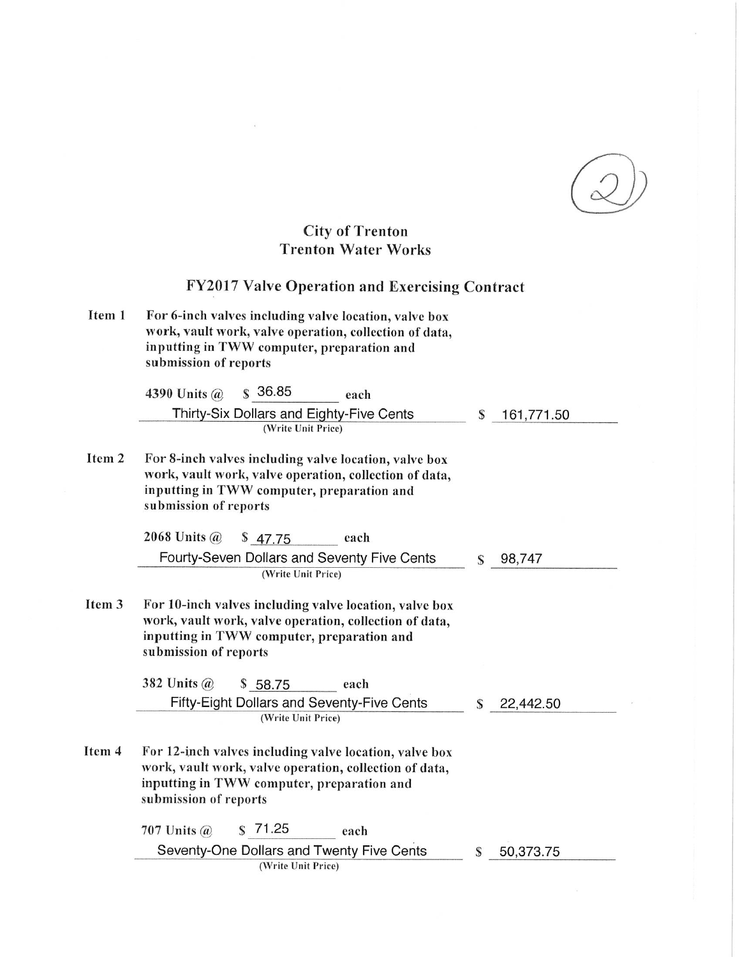## **City of Trenton<br>Trenton Water Works**

|        | <b>FY2017 Valve Operation and Exercising Contract</b>                                                                                                                                   |   |            |
|--------|-----------------------------------------------------------------------------------------------------------------------------------------------------------------------------------------|---|------------|
| Item 1 | For 6-inch valves including valve location, valve box<br>work, vault work, valve operation, collection of data,<br>inputting in TWW computer, preparation and<br>submission of reports  |   |            |
|        | \$36.85<br>4390 Units $\omega$<br>each                                                                                                                                                  |   |            |
|        | Thirty-Six Dollars and Eighty-Five Cents<br>(Write Unit Price)                                                                                                                          | S | 161,771.50 |
| Item 2 | For 8-inch valves including valve location, valve box<br>work, vault work, valve operation, collection of data,<br>inputting in TWW computer, preparation and<br>submission of reports  |   |            |
|        | 2068 Units $\omega$<br>\$47.75<br>each                                                                                                                                                  |   |            |
|        | Fourty-Seven Dollars and Seventy Five Cents<br>(Write Unit Price)                                                                                                                       | S | 98,747     |
| Item 3 | For 10-inch valves including valve location, valve box<br>work, vault work, valve operation, collection of data,<br>inputting in TWW computer, preparation and<br>submission of reports |   |            |
|        | 382 Units $\omega$<br>\$58.75<br>each                                                                                                                                                   |   |            |
|        | <b>Fifty-Eight Dollars and Seventy-Five Cents</b><br>(Write Unit Price)                                                                                                                 | S | 22,442.50  |
| Item 4 | For 12-inch valves including valve location, valve box<br>work, vault work, valve operation, collection of data,<br>inputting in TWW computer, preparation and<br>submission of reports |   |            |
|        | $S$ 71.25<br>707 Units $\omega$<br>each                                                                                                                                                 |   |            |
|        | Seventy-One Dollars and Twenty Five Cents<br>(Write Unit Price)                                                                                                                         | S | 50,373.75  |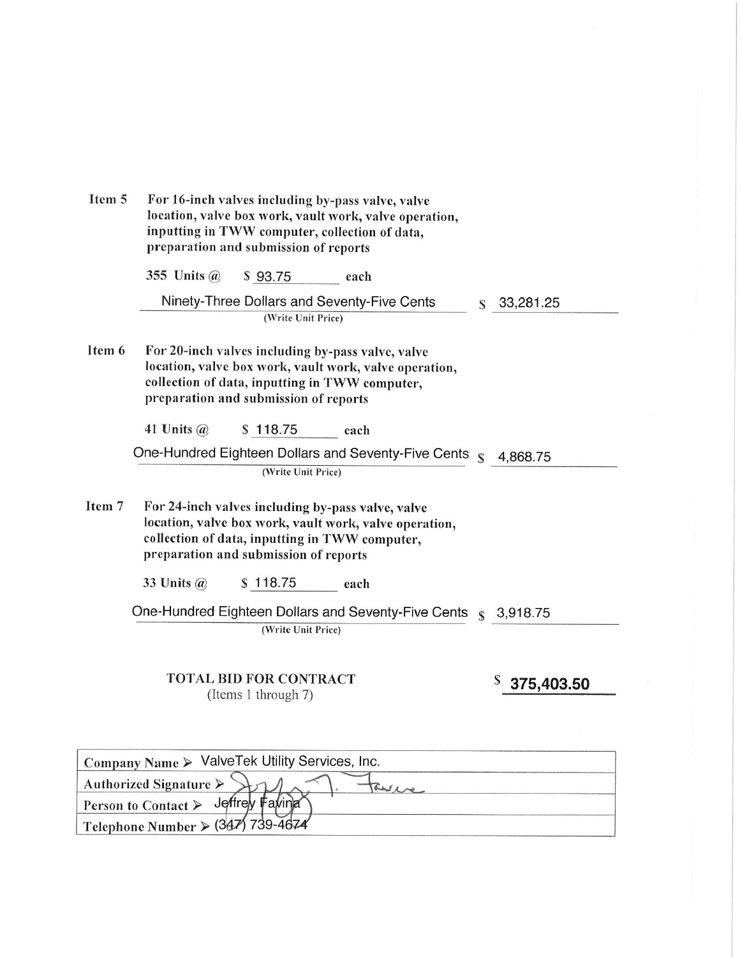| Item 5 | For 16-inch valves including by-pass valve, valve<br>location, valve box work, vault work, valve operation,<br>inputting in TWW computer, collection of data,<br>preparation and submission of reports |   |                 |  |  |  |
|--------|--------------------------------------------------------------------------------------------------------------------------------------------------------------------------------------------------------|---|-----------------|--|--|--|
|        | 355 Units $(a)$<br>\$93.75<br>each                                                                                                                                                                     |   |                 |  |  |  |
|        | Ninety-Three Dollars and Seventy-Five Cents<br>(Write Unit Price)                                                                                                                                      | S | 33,281.25       |  |  |  |
| Item 6 | For 20-inch valves including by-pass valve, valve<br>location, valve box work, vault work, valve operation,<br>collection of data, inputting in TWW computer,<br>preparation and submission of reports |   |                 |  |  |  |
|        | 41 Units $\omega$<br>\$118.75<br>each                                                                                                                                                                  |   |                 |  |  |  |
|        | One-Hundred Eighteen Dollars and Seventy-Five Cents s                                                                                                                                                  |   | 4,868.75        |  |  |  |
|        | (Write Unit Price)                                                                                                                                                                                     |   |                 |  |  |  |
| Item 7 | For 24-inch valves including by-pass valve, valve<br>location, valve box work, vault work, valve operation,<br>collection of data, inputting in TWW computer,<br>preparation and submission of reports |   |                 |  |  |  |
|        | \$118.75<br>33 Units $\omega$<br>each                                                                                                                                                                  |   |                 |  |  |  |
|        | One-Hundred Eighteen Dollars and Seventy-Five Cents s                                                                                                                                                  |   | 3,918.75        |  |  |  |
|        | (Write Unit Price)                                                                                                                                                                                     |   |                 |  |  |  |
|        | TOTAL BID FOR CONTRACT<br>(Items 1 through 7)                                                                                                                                                          |   | S<br>375,403.50 |  |  |  |

| Company Name > ValveTek Utility Services, Inc. |
|------------------------------------------------|
| Authorized Signature $\triangleright$          |
| Person to Contact > Jeffrey Faving             |
| Telephone Number > (347) 739-4674              |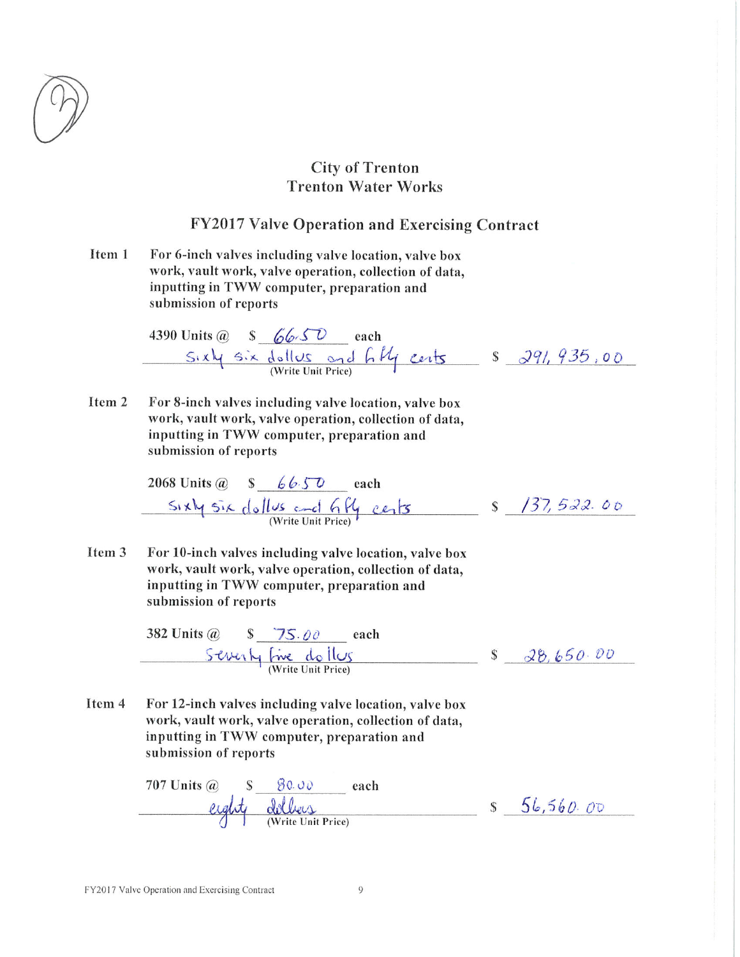

## **City of Trenton Trenton Water Works**

## **FY2017 Valve Operation and Exercising Contract**

Item 1 For 6-inch valves including valve location, valve box work, vault work, valve operation, collection of data, inputting in TWW computer, preparation and submission of reports

4390 Units @  $s$  66.50 each<br>Sixly six dollers and 6 kg cents  $s$  291, 935,00

For 8-inch valves including valve location, valve box Item 2 work, vault work, valve operation, collection of data, inputting in TWW computer, preparation and submission of reports

 $S_1 \times N_1$   $S_1 \times$  dollus and  $6N_1$  cents  $S_1/37, 522.00$ 

For 10-inch valves including valve location, valve box Item<sub>3</sub> work, vault work, valve operation, collection of data, inputting in TWW computer, preparation and submission of reports

> 382 Units @  $S\frac{75.00}{\text{keal}}$  each<br>Severly five dollors  $8\frac{28.650.00}{50}$

Item 4 For 12-inch valves including valve location, valve box work, vault work, valve operation, collection of data, inputting in TWW computer, preparation and submission of reports

707 Units @ S 80.00 each<br>eight dollers s 56,560.00